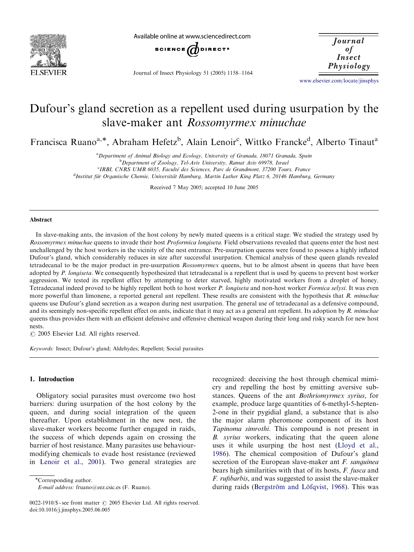

Available online at www.sciencedirect.com



Journal of Insect Physiology 51 (2005) 1158–1164

*Iournal* Insect Physiology

<www.elsevier.com/locate/jinsphys>

# Dufour's gland secretion as a repellent used during usurpation by the slave-maker ant Rossomyrmex minuchae

Francisca Ruano<sup>a,\*</sup>, Abraham Hefetz<sup>b</sup>, Alain Lenoir<sup>c</sup>, Wittko Francke<sup>d</sup>, Alberto Tinaut<sup>a</sup>

<sup>a</sup> Department of Animal Biology and Ecology, University of Granada, 18071 Granada, Spain

<sup>b</sup>Department of Zoology, Tel-Aviv University, Ramat Aviv 69978, Israel

<sup>c</sup>IRBI, CNRS UMR 6035, Faculté des Sciences, Parc de Grandmont, 37200 Tours, France

<sup>d</sup>Institut für Organische Chemie, Universität Hamburg, Martin Luther King Platz 6, 20146 Hamburg, Germany

Received 7 May 2005; accepted 10 June 2005

## Abstract

In slave-making ants, the invasion of the host colony by newly mated queens is a critical stage. We studied the strategy used by Rossomyrmex minuchae queens to invade their host Proformica longiseta. Field observations revealed that queens enter the host nest unchallenged by the host workers in the vicinity of the nest entrance. Pre-usurpation queens were found to possess a highly inflated Dufour's gland, which considerably reduces in size after successful usurpation. Chemical analysis of these queen glands revealed tetradecanal to be the major product in pre-usurpation Rossomyrmex queens, but to be almost absent in queens that have been adopted by P. longiseta. We consequently hypothesized that tetradecanal is a repellent that is used by queens to prevent host worker aggression. We tested its repellent effect by attempting to deter starved, highly motivated workers from a droplet of honey. Tetradecanal indeed proved to be highly repellent both to host worker P. longiseta and non-host worker Formica selysi. It was even more powerful than limonene, a reported general ant repellent. These results are consistent with the hypothesis that R. minuchae queens use Dufour's gland secretion as a weapon during nest usurpation. The general use of tetradecanal as a defensive compound, and its seemingly non-specific repellent effect on ants, indicate that it may act as a general ant repellent. Its adoption by R. minuchae queens thus provides them with an efficient defensive and offensive chemical weapon during their long and risky search for new host nests.

 $\odot$  2005 Elsevier Ltd. All rights reserved.

Keywords: Insect; Dufour's gland; Aldehydes; Repellent; Social parasites

#### 1. Introduction

Obligatory social parasites must overcome two host barriers: during usurpation of the host colony by the queen, and during social integration of the queen thereafter. Upon establishment in the new nest, the slave-maker workers become further engaged in raids, the success of which depends again on crossing the barrier of host resistance. Many parasites use behaviourmodifying chemicals to evade host resistance (reviewed in [Lenoir et al., 2001](#page-6-0)). Two general strategies are

Corresponding author.

E-mail address: fruano@eez.csic.es (F. Ruano).

recognized: deceiving the host through chemical mimicry and repelling the host by emitting aversive substances. Queens of the ant Bothriomyrmex syrius, for example, produce large quantities of 6-methyl-5-hepten-2-one in their pygidial gland, a substance that is also the major alarm pheromone component of its host Tapinoma simrothi. This compound is not present in B. syrius workers, indicating that the queen alone uses it while usurping the host nest ([Lloyd et al.,](#page-6-0) [1986](#page-6-0)). The chemical composition of Dufour's gland secretion of the European slave-maker ant  $F$ . sanguinea bears high similarities with that of its hosts, F. fusca and F. rufibarbis, and was suggested to assist the slave-maker during raids (Bergström and Löfqvist, 1968). This was

 $0022-1910/S$  - see front matter  $\odot$  2005 Elsevier Ltd. All rights reserved. doi:10.1016/j.jinsphys.2005.06.005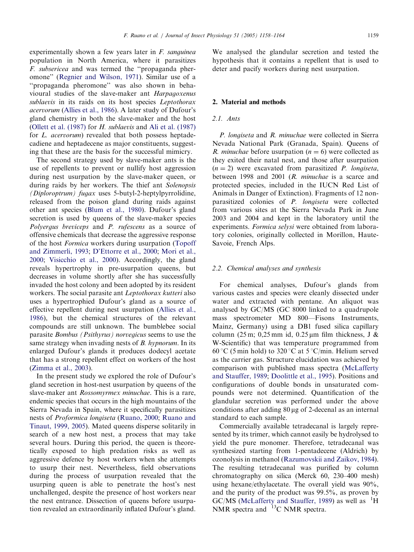experimentally shown a few years later in  $F$ . sanguinearly population in North America, where it parasitizes F. subsericea and was termed the ''propaganda pheromone'' ([Regnier and Wilson, 1971](#page-6-0)). Similar use of a ''propaganda pheromone'' was also shown in behavioural studies of the slave-maker ant Harpagoxenus sublaevis in its raids on its host species Leptothorax acervorum ([Allies et al., 1986\)](#page-6-0). A later study of Dufour's gland chemistry in both the slave-maker and the host ([Ollett et al. \(1987\)](#page-6-0) for H. sublaevis and [Ali et al. \(1987\)](#page-6-0) for *L. acervorum*) revealed that both possess heptadecadiene and heptadecene as major constituents, suggesting that these are the basis for the successful mimicry.

The second strategy used by slave-maker ants is the use of repellents to prevent or nullify host aggression during nest usurpation by the slave-maker queen, or during raids by her workers. The thief ant Solenopsis (Diploroptrum) fugax uses 5-butyl-2-heptylpyrrolidine, released from the poison gland during raids against other ant species ([Blum et al., 1980\)](#page-6-0). Dufour's gland secretion is used by queens of the slave-maker species Polyergus breviceps and P. rufescens as a source of offensive chemicals that decrease the aggressive response of the host Formica workers during usurpation ([Topoff](#page-6-0) [and Zimmerli, 1993](#page-6-0); [D'Ettorre et al., 2000](#page-6-0); [Mori et al.,](#page-6-0) [2000](#page-6-0); [Visicchio et al., 2000](#page-6-0)). Accordingly, the gland reveals hypertrophy in pre-usurpation queens, but decreases in volume shortly after she has successfully invaded the host colony and been adopted by its resident workers. The social parasite ant Leptothorax kutteri also uses a hypertrophied Dufour's gland as a source of effective repellent during nest usurpation ([Allies et al.,](#page-6-0) [1986](#page-6-0)), but the chemical structures of the relevant compounds are still unknown. The bumblebee social parasite Bombus (Psithyrus) norvegicus seems to use the same strategy when invading nests of B. hypnorum. In its enlarged Dufour's glands it produces dodecyl acetate that has a strong repellent effect on workers of the host ([Zimma et al., 2003](#page-6-0)).

In the present study we explored the role of Dufour's gland secretion in host-nest usurpation by queens of the slave-maker ant Rossomyrmex minuchae. This is a rare, endemic species that occurs in the high mountains of the Sierra Nevada in Spain, where it specifically parasitizes nests of Proformica longiseta [\(Ruano, 2000](#page-6-0); [Ruano and](#page-6-0) [Tinaut, 1999, 2005\)](#page-6-0). Mated queens disperse solitarily in search of a new host nest, a process that may take several hours. During this period, the queen is theoretically exposed to high predation risks as well as aggressive defence by host workers when she attempts to usurp their nest. Nevertheless, field observations during the process of usurpation revealed that the usurping queen is able to penetrate the host's nest unchallenged, despite the presence of host workers near the nest entrance. Dissection of queens before usurpation revealed an extraordinarily inflated Dufour's gland.

We analysed the glandular secretion and tested the hypothesis that it contains a repellent that is used to deter and pacify workers during nest usurpation.

#### 2. Material and methods

#### 2.1. Ants

P. longiseta and R. minuchae were collected in Sierra Nevada National Park (Granada, Spain). Queens of R. minuchae before usurpation ( $n = 6$ ) were collected as they exited their natal nest, and those after usurpation  $(n = 2)$  were excavated from parasitized *P. longiseta*, between 1998 and 2001 (R. minuchae is a scarce and protected species, included in the IUCN Red List of Animals in Danger of Extinction). Fragments of 12 nonparasitized colonies of P. longiseta were collected from various sites at the Sierra Nevada Park in June 2003 and 2004 and kept in the laboratory until the experiments. Formica selysi were obtained from laboratory colonies, originally collected in Morillon, Haute-Savoie, French Alps.

#### 2.2. Chemical analyses and synthesis

For chemical analyses, Dufour's glands from various castes and species were cleanly dissected under water and extracted with pentane. An aliquot was analysed by GC/MS (GC 8000 linked to a quadrupole mass spectrometer MD 800—Fisons Instruments, Mainz, Germany) using a DB1 fused silica capillary column (25 m; 0,25 mm id, 0.25  $\mu$ m film thickness, J & W-Scientific) that was temperature programmed from 60 °C (5 min hold) to 320 °C at 5 °C/min. Helium served as the carrier gas. Structure elucidation was achieved by comparison with published mass spectra ([McLafferty](#page-6-0) [and Stauffer, 1989](#page-6-0); [Doolittle et al., 1995\)](#page-6-0). Positions and configurations of double bonds in unsaturated compounds were not determined. Quantification of the glandular secretion was performed under the above conditions after adding  $80 \mu$ g of 2-decenal as an internal standard to each sample.

Commercially available tetradecanal is largely represented by its trimer, which cannot easily be hydrolysed to yield the pure monomer. Therefore, tetradecanal was synthesized starting from 1-pentadecene (Aldrich) by ozonolysis in methanol ([Razumovskii and Zaikov, 1984\)](#page-6-0). The resulting tetradecanal was purified by column chromatography on silica (Merck 60, 230–400 mesh) using hexane/ethylacetate. The overall yield was 90%, and the purity of the product was 99.5%, as proven by  $GC/MS$  [\(McLafferty and Stauffer, 1989\)](#page-6-0) as well as <sup>1</sup>H NMR spectra and  ${}^{13}$ C NMR spectra.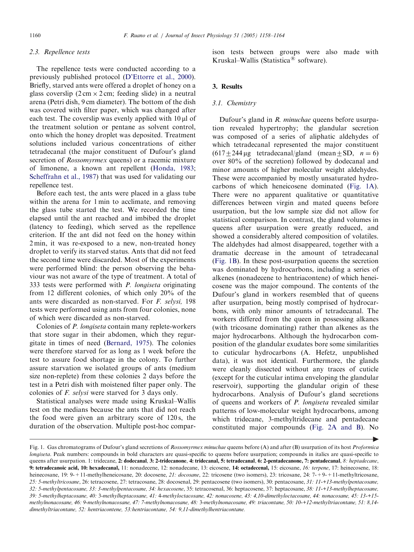# 2.3. Repellence tests

The repellence tests were conducted according to a previously published protocol [\(D'Ettorre et al., 2000\)](#page-6-0). Briefly, starved ants were offered a droplet of honey on a glass coverslip  $(2 \text{ cm} \times 2 \text{ cm})$ ; feeding slide) in a neutral arena (Petri dish, 9 cm diameter). The bottom of the dish was covered with filter paper, which was changed after each test. The coverslip was evenly applied with  $10 \mu l$  of the treatment solution or pentane as solvent control, onto which the honey droplet was deposited. Treatment solutions included various concentrations of either tetradecanal (the major constituent of Dufour's gland secretion of Rossomyrmex queens) or a racemic mixture of limonene, a known ant repellent ([Honda, 1983;](#page-6-0) [Scheffrahn et al., 1987](#page-6-0)) that was used for validating our repellence test.

Before each test, the ants were placed in a glass tube within the arena for 1 min to acclimate, and removing the glass tube started the test. We recorded the time elapsed until the ant reached and imbibed the droplet (latency to feeding), which served as the repellence criterion. If the ant did not feed on the honey within 2 min, it was re-exposed to a new, non-treated honey droplet to verify its starved status. Ants that did not feed the second time were discarded. Most of the experiments were performed blind: the person observing the behaviour was not aware of the type of treatment. A total of 333 tests were performed with P. longiseta originating from 12 different colonies, of which only 20% of the ants were discarded as non-starved. For F. selysi, 198 tests were performed using ants from four colonies, none of which were discarded as non-starved.

Colonies of P. longiseta contain many replete-workers that store sugar in their abdomen, which they regurgitate in times of need ([Bernard, 1975\)](#page-6-0). The colonies were therefore starved for as long as 1 week before the test to assure food shortage in the colony. To further assure starvation we isolated groups of ants (medium size non-replete) from these colonies 2 days before the test in a Petri dish with moistened filter paper only. The colonies of F. selysi were starved for 3 days only.

Statistical analyses were made using Kruskal–Wallis test on the medians because the ants that did not reach the food were given an arbitrary score of 120 s, the duration of the observation. Multiple post-hoc comparison tests between groups were also made with Kruskal–Wallis (Statistica $\overline{B}$  software).

## 3. Results

## 3.1. Chemistry

Dufour's gland in R. *minuchae* queens before usurpation revealed hypertrophy; the glandular secretion was composed of a series of aliphatic aldehydes of which tetradecanal represented the major constituent  $(617 \pm 244 \,\mu g$  tetradecanal/gland (mean  $\pm SD$ ,  $n = 6$ ) over 80% of the secretion) followed by dodecanal and minor amounts of higher molecular weight aldehydes. These were accompanied by mostly unsaturated hydrocarbons of which heneicosene dominated (Fig. 1A). There were no apparent qualitative or quantitative differences between virgin and mated queens before usurpation, but the low sample size did not allow for statistical comparison. In contrast, the gland volumes in queens after usurpation were greatly reduced, and showed a considerably altered composition of volatiles. The aldehydes had almost disappeared, together with a dramatic decrease in the amount of tetradecanal (Fig. 1B). In these post-usurpation queens the secretion was dominated by hydrocarbons, including a series of alkenes (nonadecene to hentriacontene) of which heneicosene was the major compound. The contents of the Dufour's gland in workers resembled that of queens after usurpation, being mostly comprised of hydrocarbons, with only minor amounts of tetradecanal. The workers differed from the queen in possessing alkanes (with tricosane dominating) rather than alkenes as the major hydrocarbons. Although the hydrocarbon composition of the glandular exudates bore some similarities to cuticular hydrocarbons (A. Hefetz, unpublished data), it was not identical. Furthermore, the glands were cleanly dissected without any traces of cuticle (except for the cuticular intima enveloping the glandular reservoir), supporting the glandular origin of these hydrocarbons. Analysis of Dufour's gland secretions of queens and workers of P. longiseta revealed similar patterns of low-molecular weight hydrocarbons, among which tridecane, 3-methyltridecane and pentadecane constituted major compounds ([Fig. 2A and B\)](#page-4-0). No

Fig. 1. Gas chromatograms of Dufour's gland secretions of Rossomyrmex minuchae queens before (A) and after (B) usurpation of its host Proformica longiseta. Peak numbers: compounds in bold characters are quasi-specific to queens before usurpation; compounds in italics are quasi-specific to queens after usurpation. 1: tridecane, 2: dodecanal, 3: 2-tridecanone, 4: tridecanal, 5: tetradecanal, 6: 2-pentadecanone, 7: pentadecanal, 8: heptadecane, 9: tetradecanoic acid, 10: hexadecanal, 11: nonadecene, 12: nonadecane, 13: eicosene, 14: octadecenal, 15: eicosane, 16: terpene, 17: heinecosene, 18: heinecosane, 19: 9-+11-methylheneicosane, 20: docosene, 21: docosane, 22: tricosene (two isomers), 23: tricosane, 24: 7-+9-+11-methyltricosane, 25: 5-methyltricosane, 26: tetracosene, 27: tetracosane, 28: docosenal, 29: pentacosene (two isomers), 30: pentacosane, 31: 11-+13-methylpentacosane, 32: 5-methylpentacosane, 33: 3-methylpentacosane, 34: hexacosene, 35: tetracosenal, 36: heptacosene, 37: heptacosane, 38: 11-+13-methylheptacosane, 39: 5-methylheptacosane, 40: 3-methylheptacosane, 41: 4-methyloctacosane, 42: nonacosene, 43: 4,10-dimethyloctacosane, 44: nonacosane, 45: 13-+15 methylnonacosane, 46: 9-methylnonacosane, 47: 7-methylnonacosane, 48: 3-methylnonacosane, 49: triacontane, 50: 10-+12-methyltriacontane, 51: 8,14 dimethyltriacontane, 52: hentriacontene, 53:hentriacontane, 54: 9,11-dimethylhentriacontane.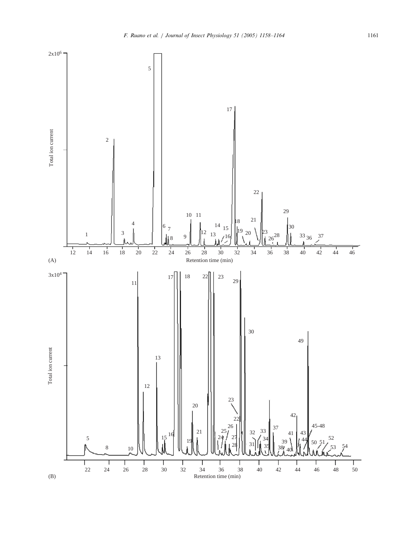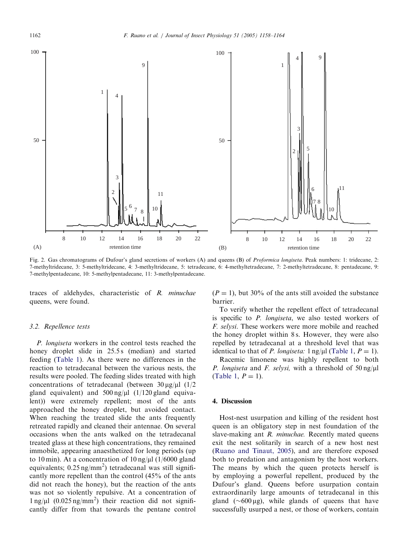

Fig. 2. Gas chromatograms of Dufour's gland secretions of workers (A) and queens (B) of *Proformica longiseta*. Peak numbers: 1: tridecane, 2: 7-methyltridecane, 3: 5-methyltridecane, 4: 3-methyltridecane, 5: tetradecane, 6: 4-methyltetradecane, 7: 2-methyltetradecane, 8: pentadecane, 9: 7-methylpentadecane, 10: 5-methylpentadecane, 11: 3-methylpentadecane.

traces of aldehydes, characteristic of R. minuchae queens, were found.

#### 3.2. Repellence tests

P. longiseta workers in the control tests reached the honey droplet slide in 25.5 s (median) and started feeding ([Table 1\)](#page-5-0). As there were no differences in the reaction to tetradecanal between the various nests, the results were pooled. The feeding slides treated with high concentrations of tetradecanal (between  $30 \mu g / \mu l$  (1/2) gland equivalent) and  $500 \text{ ng}/\text{m}$  (1/120 gland equivalent)) were extremely repellent; most of the ants approached the honey droplet, but avoided contact. When reaching the treated slide the ants frequently retreated rapidly and cleaned their antennae. On several occasions when the ants walked on the tetradecanal treated glass at these high concentrations, they remained immobile, appearing anaesthetized for long periods (up to 10 min). At a concentration of  $10 \text{ ng}/\mu$  (1/6000 gland equivalents;  $0.25$  ng/mm<sup>2</sup>) tetradecanal was still significantly more repellent than the control (45% of the ants did not reach the honey), but the reaction of the ants was not so violently repulsive. At a concentration of  $1 \text{ ng/}\mu 1$  (0.025 ng/mm<sup>2</sup>) their reaction did not significantly differ from that towards the pentane control

 $(P = 1)$ , but 30% of the ants still avoided the substance barrier.

To verify whether the repellent effect of tetradecanal is specific to P. longiseta, we also tested workers of F. selysi. These workers were more mobile and reached the honey droplet within 8 s. However, they were also repelled by tetradecanal at a threshold level that was identical to that of *P. longiseta*:  $1 \text{ ng}/\text{ul}$  ([Table 1](#page-5-0), *P* = 1).

Racemic limonene was highly repellent to both P. longiseta and F. selysi, with a threshold of  $50 \text{ ng}/\text{m}$ ([Table 1](#page-5-0),  $P = 1$ ).

#### 4. Discussion

Host-nest usurpation and killing of the resident host queen is an obligatory step in nest foundation of the slave-making ant R. minuchae. Recently mated queens exit the nest solitarily in search of a new host nest ([Ruano and Tinaut, 2005\)](#page-6-0), and are therefore exposed both to predation and antagonism by the host workers. The means by which the queen protects herself is by employing a powerful repellent, produced by the Dufour's gland. Queens before usurpation contain extraordinarily large amounts of tetradecanal in this gland  $(\sim 600 \,\mu$ g), while glands of queens that have successfully usurped a nest, or those of workers, contain

<span id="page-4-0"></span>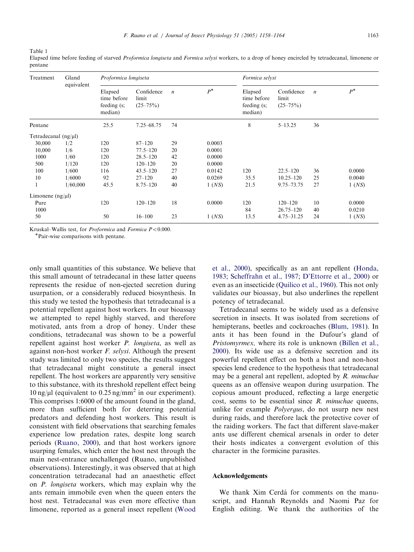<span id="page-5-0"></span>Table 1

| Treatment              | Gland<br>equivalent | Proformica longiseta                             |                                     |                  |        | Formica selysi                                   |                                     |                  |        |
|------------------------|---------------------|--------------------------------------------------|-------------------------------------|------------------|--------|--------------------------------------------------|-------------------------------------|------------------|--------|
|                        |                     | Elapsed<br>time before<br>feeding (s;<br>median) | Confidence<br>limit<br>$(25 - 75%)$ | $\boldsymbol{n}$ | $P^*$  | Elapsed<br>time before<br>feeding (s;<br>median) | Confidence<br>limit<br>$(25 - 75%)$ | $\boldsymbol{n}$ | $P^*$  |
| Pentane                |                     | 25.5                                             | $7.25 - 68.75$                      | 74               |        | 8                                                | $5 - 13.25$                         | 36               |        |
| Tetradecanal $(ng/µl)$ |                     |                                                  |                                     |                  |        |                                                  |                                     |                  |        |
| 30,000                 | 1/2                 | 120                                              | $87 - 120$                          | 29               | 0.0003 |                                                  |                                     |                  |        |
| 10,000                 | 1/6                 | 120                                              | $77.5 - 120$                        | 20               | 0.0001 |                                                  |                                     |                  |        |
| 1000                   | 1/60                | 120                                              | $28.5 - 120$                        | 42               | 0.0000 |                                                  |                                     |                  |        |
| 500                    | 1/120               | 120                                              | $120 - 120$                         | 20               | 0.0000 |                                                  |                                     |                  |        |
| 100                    | 1/600               | 116                                              | $43.5 - 120$                        | 27               | 0.0142 | 120                                              | $22.5 - 120$                        | 36               | 0.0000 |
| 10                     | 1/6000              | 92                                               | $27 - 120$                          | 40               | 0.0269 | 35.5                                             | $10.25 - 120$                       | 25               | 0.0040 |
|                        | 1/60,000            | 45.5                                             | $8.75 - 120$                        | 40               | 1 (NS) | 21.5                                             | $9.75 - 73.75$                      | 27               | 1 (NS) |
| Limonene $(ng/µl)$     |                     |                                                  |                                     |                  |        |                                                  |                                     |                  |        |
| Pure                   |                     | 120                                              | $120 - 120$                         | 18               | 0.0000 | 120                                              | $120 - 120$                         | 10               | 0.0000 |
| 1000                   |                     |                                                  |                                     |                  |        | 84                                               | $26.75 - 120$                       | 40               | 0.0210 |
| 50                     |                     | 50                                               | $16 - 100$                          | 23               | 1 (NS) | 13.5                                             | $4.75 - 31.25$                      | 24               | 1 (NS) |

Elapsed time before feeding of starved Proformica longiseta and Formica selysi workers, to a drop of honey encircled by tetradecanal, limonene or pentane

Kruskal–Wallis test, for *Proformica* and *Formica P* < 0.000. \* Pair-wise comparisons with pentane.

only small quantities of this substance. We believe that this small amount of tetradecanal in these latter queens represents the residue of non-ejected secretion during usurpation, or a considerably reduced biosynthesis. In this study we tested the hypothesis that tetradecanal is a potential repellent against host workers. In our bioassay we attempted to repel highly starved, and therefore motivated, ants from a drop of honey. Under these conditions, tetradecanal was shown to be a powerful repellent against host worker P. longiseta, as well as against non-host worker F. selysi. Although the present study was limited to only two species, the results suggest that tetradecanal might constitute a general insect repellent. The host workers are apparently very sensitive to this substance, with its threshold repellent effect being 10 ng/ $\mu$ l (equivalent to 0.25 ng/mm<sup>2</sup> in our experiment). This comprises 1:6000 of the amount found in the gland, more than sufficient both for deterring potential predators and defending host workers. This result is consistent with field observations that searching females experience low predation rates, despite long search periods [\(Ruano, 2000\)](#page-6-0), and that host workers ignore usurping females, which enter the host nest through the main nest-entrance unchallenged (Ruano, unpublished observations). Interestingly, it was observed that at high concentration tetradecanal had an anaesthetic effect on P. longiseta workers, which may explain why the ants remain immobile even when the queen enters the host nest. Tetradecanal was even more effective than limonene, reported as a general insect repellent [\(Wood](#page-6-0)

[et al., 2000](#page-6-0)), specifically as an ant repellent [\(Honda,](#page-6-0) [1983](#page-6-0); [Scheffrahn et al., 1987](#page-6-0); [D'Ettorre et al., 2000](#page-6-0)) or even as an insecticide ([Quilico et al., 1960\)](#page-6-0). This not only validates our bioassay, but also underlines the repellent potency of tetradecanal.

Tetradecanal seems to be widely used as a defensive secretion in insects. It was isolated from secretions of hemipterans, beetles and cockroaches ([Blum, 1981](#page-6-0)). In ants it has been found in the Dufour's gland of Pristomyrmex, where its role is unknown ([Billen et al.,](#page-6-0) [2000](#page-6-0)). Its wide use as a defensive secretion and its powerful repellent effect on both a host and non-host species lend credence to the hypothesis that tetradecanal may be a general ant repellent, adopted by R. minuchae queens as an offensive weapon during usurpation. The copious amount produced, reflecting a large energetic cost, seems to be essential since  $R$ . *minuchae* queens, unlike for example *Polyergus*, do not usurp new nest during raids, and therefore lack the protective cover of the raiding workers. The fact that different slave-maker ants use different chemical arsenals in order to deter their hosts indicates a convergent evolution of this character in the formicine parasites.

## Acknowledgements

We thank Xim Cerdá for comments on the manuscript, and Hannah Reynolds and Naomi Paz for English editing. We thank the authorities of the